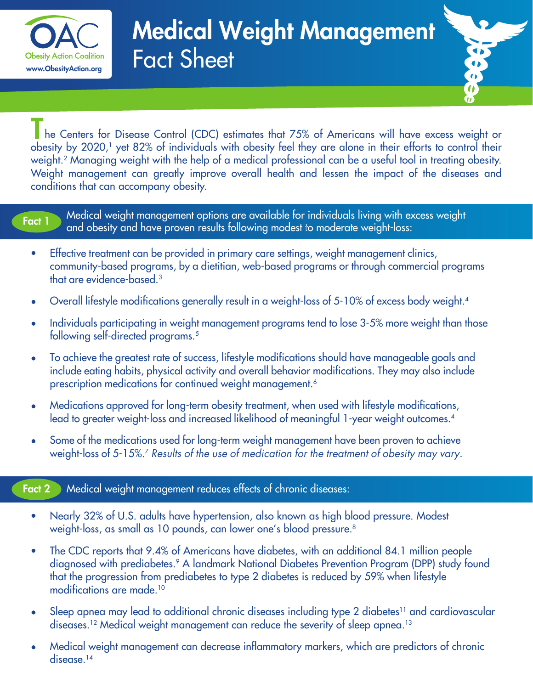

# Medical Weight Management Fact Sheet



The Centers for Disease Control (CDC) estimates that 75% of Americans will have excess weight or obesity by 2020,<sup>1</sup> yet 82% of individuals with obesity feel they are alone in their efforts to control their weight.2 Managing weight with the help of a medical professional can be a useful tool in treating obesity. Weight management can greatly improve overall health and lessen the impact of the diseases and conditions that can accompany obesity.

## Fact 1

Medical weight management options are available for individuals living with excess weight and obesity and have proven results following modest to moderate weight-loss:

- Effective treatment can be provided in primary care settings, weight management clinics,  $\bullet$ community-based programs, by a dietitian, web-based programs or through commercial programs that are evidence-based.3
- Overall lifestyle modifications generally result in a weight-loss of 5-10% of excess body weight.4
- Individuals participating in weight management programs tend to lose 3-5% more weight than those following self-directed programs.<sup>5</sup>
- To achieve the greatest rate of success, lifestyle modifications should have manageable goals and include eating habits, physical activity and overall behavior modifications. They may also include prescription medications for continued weight management.<sup>6</sup>
- Medications approved for long-term obesity treatment, when used with lifestyle modifications, lead to greater weight-loss and increased likelihood of meaningful 1-year weight outcomes.4
- Some of the medications used for long-term weight management have been proven to achieve  $\bullet$ weight-loss of 5-15%.7 *Results of the use of medication for the treatment of obesity may vary.*

#### Fact 2 Medical weight management reduces effects of chronic diseases:

- Nearly 32% of U.S. adults have hypertension, also known as high blood pressure. Modest  $\bullet$ weight-loss, as small as 10 pounds, can lower one's blood pressure.<sup>8</sup>
- The CDC reports that 9.4% of Americans have diabetes, with an additional 84.1 million people  $\bullet$ diagnosed with prediabetes.<sup>9</sup> A landmark National Diabetes Prevention Program (DPP) study found that the progression from prediabetes to type 2 diabetes is reduced by 59% when lifestyle modifications are made.10
- Sleep apnea may lead to additional chronic diseases including type 2 diabetes<sup>11</sup> and cardiovascular  $\bullet$ diseases.<sup>12</sup> Medical weight management can reduce the severity of sleep apnea.<sup>13</sup>
- Medical weight management can decrease inflammatory markers, which are predictors of chronic disease.<sup>14</sup>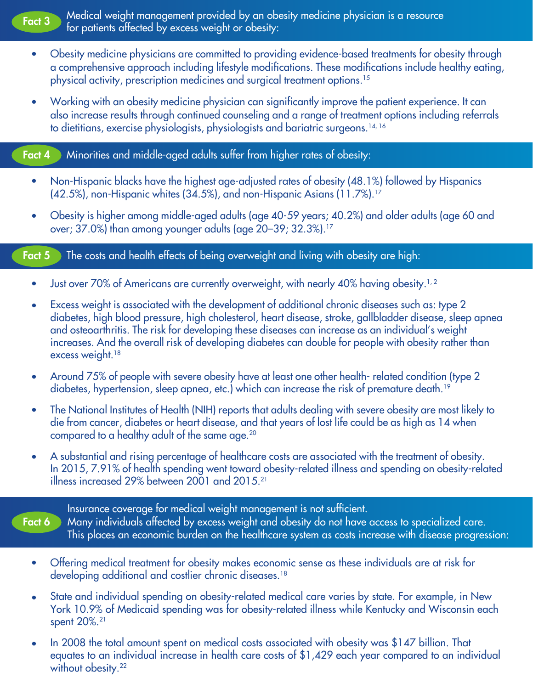

Fact 3 Medical weight management provided by an obesity medicine physician is a resource for patients affected by excess weight or obesity:

- Obesity medicine physicians are committed to providing evidence-based treatments for obesity through  $\bullet$ a comprehensive approach including lifestyle modifications. These modifications include healthy eating, physical activity, prescription medicines and surgical treatment options.15
- Working with an obesity medicine physician can significantly improve the patient experience. It can  $\bullet$ also increase results through continued counseling and a range of treatment options including referrals to dietitians, exercise physiologists, physiologists and bariatric surgeons.<sup>14, 16</sup>

### Fact 4 Minorities and middle-aged adults suffer from higher rates of obesity:

- Non-Hispanic blacks have the highest age-adjusted rates of obesity (48.1%) followed by Hispanics  $\bullet$ (42.5%), non-Hispanic whites (34.5%), and non-Hispanic Asians (11.7%).17
- Obesity is higher among middle-aged adults (age 40-59 years; 40.2%) and older adults (age 60 and  $\bullet$ over; 37.0%) than among younger adults (age 20–39; 32.3%).17

# Fact 5 The costs and health effects of being overweight and living with obesity are high:

- Just over 70% of Americans are currently overweight, with nearly 40% having obesity.<sup>1,2</sup>  $\bullet$
- Excess weight is associated with the development of additional chronic diseases such as: type 2  $\bullet$ diabetes, high blood pressure, high cholesterol, heart disease, stroke, gallbladder disease, sleep apnea and osteoarthritis. The risk for developing these diseases can increase as an individual's weight increases. And the overall risk of developing diabetes can double for people with obesity rather than excess weight.<sup>18</sup>
- Around 75% of people with severe obesity have at least one other health- related condition (type 2  $\bullet$ diabetes, hypertension, sleep apnea, etc.) which can increase the risk of premature death.<sup>19</sup>
- The National Institutes of Health (NIH) reports that adults dealing with severe obesity are most likely to  $\bullet$ die from cancer, diabetes or heart disease, and that years of lost life could be as high as 14 when compared to a healthy adult of the same age.<sup>20</sup>
- A substantial and rising percentage of healthcare costs are associated with the treatment of obesity. In 2015, 7.91% of health spending went toward obesity-related illness and spending on obesity-related illness increased 29% between 2001 and 2015.21

Fact 6 Many individuals affected by excess weight and obesity do not have access to specialized care. Insurance coverage for medical weight management is not sufficient. This places an economic burden on the healthcare system as costs increase with disease progression:

- Offering medical treatment for obesity makes economic sense as these individuals are at risk for  $\bullet$ developing additional and costlier chronic diseases.18
- State and individual spending on obesity-related medical care varies by state. For example, in New  $\bullet$ York 10.9% of Medicaid spending was for obesity-related illness while Kentucky and Wisconsin each spent 20%.<sup>21</sup>
- In 2008 the total amount spent on medical costs associated with obesity was \$147 billion. That equates to an individual increase in health care costs of \$1,429 each year compared to an individual without obesity.<sup>22</sup>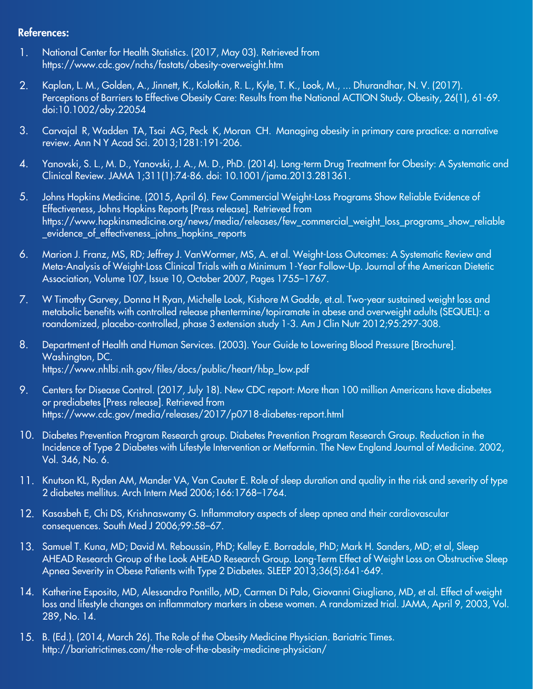#### References:

- 1. National Center for Health Statistics. (2017, May 03). Retrieved from https://www.cdc.gov/nchs/fastats/obesity-overweight.htm
- 2. Kaplan, L. M., Golden, A., Jinnett, K., Kolotkin, R. L., Kyle, T. K., Look, M., ... Dhurandhar, N. V. (2017). Perceptions of Barriers to Effective Obesity Care: Results from the National ACTION Study. Obesity, 26(1), 61-69. doi:10.1002/oby.22054
- 3. Carvajal R, Wadden TA, Tsai AG, Peck K, Moran CH. Managing obesity in primary care practice: a narrative review. Ann N Y Acad Sci. 2013;1281:191-206.
- 4. Yanovski, S. L., M. D., Yanovski, J. A., M. D., PhD. (2014). Long-term Drug Treatment for Obesity: A Systematic and Clinical Review. JAMA 1;311(1):74-86. doi: 10.1001/jama.2013.281361.
- 5. Johns Hopkins Medicine. (2015, April 6). Few Commercial Weight-Loss Programs Show Reliable Evidence of Effectiveness, Johns Hopkins Reports [Press release]. Retrieved from https://www.hopkinsmedicine.org/news/media/releases/few\_commercial\_weight\_loss\_programs\_show\_reliable \_evidence\_of\_effectiveness\_johns\_hopkins\_reports
- 6. Marion J. Franz, MS, RD; Jeffrey J. VanWormer, MS, A. et al. Weight-Loss Outcomes: A Systematic Review and Meta-Analysis of Weight-Loss Clinical Trials with a Minimum 1-Year Follow-Up. Journal of the American Dietetic Association, Volume 107, Issue 10, October 2007, Pages 1755–1767.
- 7. W Timothy Garvey, Donna H Ryan, Michelle Look, Kishore M Gadde, et.al. Two-year sustained weight loss and metabolic benefits with controlled release phentermine/topiramate in obese and overweight adults (SEQUEL): a roandomized, placebo-controlled, phase 3 extension study 1-3. Am J Clin Nutr 2012;95:297-308.
- 8. Department of Health and Human Services. (2003). Your Guide to Lowering Blood Pressure [Brochure]. Washington, DC. https://www.nhlbi.nih.gov/files/docs/public/heart/hbp\_low.pdf
- 9. Centers for Disease Control. (2017, July 18). New CDC report: More than 100 million Americans have diabetes or prediabetes [Press release]. Retrieved from https://www.cdc.gov/media/releases/2017/p0718-diabetes-report.html
- 10. Diabetes Prevention Program Research group. Diabetes Prevention Program Research Group. Reduction in the Incidence of Type 2 Diabetes with Lifestyle Intervention or Metformin. The New England Journal of Medicine. 2002, Vol. 346, No. 6.
- 11. Knutson KL, Ryden AM, Mander VA, Van Cauter E. Role of sleep duration and quality in the risk and severity of type 2 diabetes mellitus. Arch Intern Med 2006;166:1768–1764.
- 12. Kasasbeh E, Chi DS, Krishnaswamy G. Inflammatory aspects of sleep apnea and their cardiovascular consequences. South Med J 2006;99:58–67.
- 13. Samuel T. Kuna, MD; David M. Reboussin, PhD; Kelley E. Borradale, PhD; Mark H. Sanders, MD; et al, Sleep AHEAD Research Group of the Look AHEAD Research Group. Long-Term Effect of Weight Loss on Obstructive Sleep Apnea Severity in Obese Patients with Type 2 Diabetes. SLEEP 2013;36(5):641-649.
- 14. Katherine Esposito, MD, Alessandro Pontillo, MD, Carmen Di Palo, Giovanni Giugliano, MD, et al. Effect of weight loss and lifestyle changes on inflammatory markers in obese women. A randomized trial. JAMA, April 9, 2003, Vol. 289, No. 14.
- 15. B. (Ed.). (2014, March 26). The Role of the Obesity Medicine Physician. Bariatric Times. http://bariatrictimes.com/the-role-of-the-obesity-medicine-physician/